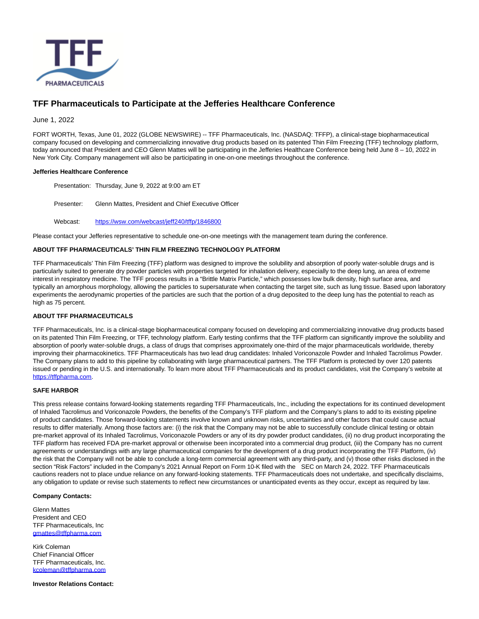

# **TFF Pharmaceuticals to Participate at the Jefferies Healthcare Conference**

## June 1, 2022

FORT WORTH, Texas, June 01, 2022 (GLOBE NEWSWIRE) -- TFF Pharmaceuticals, Inc. (NASDAQ: TFFP), a clinical-stage biopharmaceutical company focused on developing and commercializing innovative drug products based on its patented Thin Film Freezing (TFF) technology platform, today announced that President and CEO Glenn Mattes will be participating in the Jefferies Healthcare Conference being held June 8 - 10, 2022 in New York City. Company management will also be participating in one-on-one meetings throughout the conference.

#### **Jefferies Healthcare Conference**

Presentation: Thursday, June 9, 2022 at 9:00 am ET

Presenter: Glenn Mattes, President and Chief Executive Officer

Webcast: [https://wsw.com/webcast/jeff240/tffp/1846800](https://shared.outlook.inky.com/link?domain=nam02.safelinks.protection.outlook.com&t=h.eJxdUdtunDAQ_ZUIiX2qwMYXcKRVs2GVlG1oGynNpn3ztcvCAsXekLTqv9emT6k0ts-cmTMjz_yOzlMXXV5EB-dGe5mmPT-BLLHc6K7pW5uM0-C0dM3QJ8PZdcPQJnI4pe-9bL1oYrSJsxtvs51DKCAtJLfOo6M2JsPAI2fM6B9YYFoAsFLc8TUgcV4C6C8580nFGISsA59OfKmUl4QaQFChM4YM9kqUMwkKxTGCpiAoSAVDBZBQc8IlZiLngBLIISRCaE2Z8SkhDfhDUV4wChhjkELEQI49-bVv-2HuPXrY34zi9rsVSBX6dbevjkNTl3i-O27mertp7srdfeAes-5c_6qCf_3QVLRq4YHv5-A_PZYVrXsQo60viAAIbf_Zyi5_7uLsOkxGfVEv58_w6OHLaH7Onha0398-uY_3yjTfdsXw4dO27WojfbHVpK2enrVag-jdRdSGjXWN0VY2XD03dphsevox8d5d_Ucv2xIkp35EWQEM4SKHGSSKYakklzklUqSQEgwgopgmEIcOOnRYtnL1ZichpkLsLfvnL1Hqsz4.MEUCICp7mgnLQq4rL6Et9cCdgSW-gpdvd3XS3ODkCjJMxpvGAiEAx23EBpbIU7bDvSrpjAMClcwakQfJj2JC8NWwvK8QpFs)

Please contact your Jefferies representative to schedule one-on-one meetings with the management team during the conference.

## **ABOUT TFF PHARMACEUTICALS' THIN FILM FREEZING TECHNOLOGY PLATFORM**

TFF Pharmaceuticals' Thin Film Freezing (TFF) platform was designed to improve the solubility and absorption of poorly water-soluble drugs and is particularly suited to generate dry powder particles with properties targeted for inhalation delivery, especially to the deep lung, an area of extreme interest in respiratory medicine. The TFF process results in a "Brittle Matrix Particle," which possesses low bulk density, high surface area, and typically an amorphous morphology, allowing the particles to supersaturate when contacting the target site, such as lung tissue. Based upon laboratory experiments the aerodynamic properties of the particles are such that the portion of a drug deposited to the deep lung has the potential to reach as high as 75 percent.

## **ABOUT TFF PHARMACEUTICALS**

TFF Pharmaceuticals, Inc. is a clinical-stage biopharmaceutical company focused on developing and commercializing innovative drug products based on its patented Thin Film Freezing, or TFF, technology platform. Early testing confirms that the TFF platform can significantly improve the solubility and absorption of poorly water-soluble drugs, a class of drugs that comprises approximately one-third of the major pharmaceuticals worldwide, thereby improving their pharmacokinetics. TFF Pharmaceuticals has two lead drug candidates: Inhaled Voriconazole Powder and Inhaled Tacrolimus Powder. The Company plans to add to this pipeline by collaborating with large pharmaceutical partners. The TFF Platform is protected by over 120 patents issued or pending in the U.S. and internationally. To learn more about TFF Pharmaceuticals and its product candidates, visit the Company's website at [https://tffpharma.com.](https://www.globenewswire.com/Tracker?data=poG3RdD4NYz_XS1q6P-KG2jCtpqJhIHzQs5Tfqt5XGzJY2FPTlD6uaOyyAMCV-D0Xk8x4jwz40SzZ5ig4jnsZQ==)

## **SAFE HARBOR**

This press release contains forward-looking statements regarding TFF Pharmaceuticals, Inc., including the expectations for its continued development of Inhaled Tacrolimus and Voriconazole Powders, the benefits of the Company's TFF platform and the Company's plans to add to its existing pipeline of product candidates. Those forward-looking statements involve known and unknown risks, uncertainties and other factors that could cause actual results to differ materially. Among those factors are: (i) the risk that the Company may not be able to successfully conclude clinical testing or obtain pre-market approval of its Inhaled Tacrolimus, Voriconazole Powders or any of its dry powder product candidates, (ii) no drug product incorporating the TFF platform has received FDA pre-market approval or otherwise been incorporated into a commercial drug product, (iii) the Company has no current agreements or understandings with any large pharmaceutical companies for the development of a drug product incorporating the TFF Platform, (iv) the risk that the Company will not be able to conclude a long-term commercial agreement with any third-party, and (v) those other risks disclosed in the section "Risk Factors" included in the Company's 2021 Annual Report on Form 10-K filed with the SEC on March 24, 2022. TFF Pharmaceuticals cautions readers not to place undue reliance on any forward-looking statements. TFF Pharmaceuticals does not undertake, and specifically disclaims, any obligation to update or revise such statements to reflect new circumstances or unanticipated events as they occur, except as required by law.

#### **Company Contacts:**

Glenn Mattes President and CEO TFF Pharmaceuticals, Inc [gmattes@tffpharma.com](https://www.globenewswire.com/Tracker?data=GCchbMHATb7vr8BDMYuL8rAourlYdtCHyazvbB7x7zmmldoI711jdNNwky5wntYJcUKaL7SsfSTzEF9cDEAb7KivAMux6NQIOpObeIdhV_Q=)

Kirk Coleman Chief Financial Officer TFF Pharmaceuticals, Inc. [kcoleman@tffpharma.com](https://www.globenewswire.com/Tracker?data=7A2s_ZMVj-lru9ru8-XZe_C-dvLEUyRZ5uHuIb-J_eDGyDpl23jG0ne0HjMAz_oNdcfHwPb_fmyQZP54gqstI2JeXpcAyNRdFgXNL_bltu4=)

**Investor Relations Contact:**